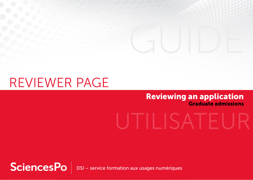## REVIEWER PAGE

### Reviewing an application Graduate admissions

# UTILISATE

SciencesPo DSI – service formation aux usages numériques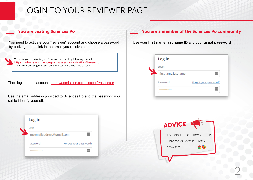## LOGIN TO YOUR REVIEWER PAGE

#### You are visiting Sciences Po

You need to activate your "reviewer" account and choose a password by clicking on the link in the email you received:

We invite you to activate your "reviewer" account by following this link: [https://admission.sciencespo.fr/assessor/activation?token=.](https://admission.sciencespo.fr/assessor/activation?token=).. and to connect using the username and password you have chosen.

Then log in to the account: [https://admission.sciencespo.fr/assessor](https://admission.sciencespo.fr/assessor/login)

Use the email address provided to Sciences Po and the password you set to identify yourself:

| Log in                   |                       |
|--------------------------|-----------------------|
| Login                    |                       |
| myemailaddress@gmail.com |                       |
| Password                 | Forgot your password? |
|                          |                       |

#### You are a member of the Sciences Po community

Use your **first name.last name ID** and your **usual password**



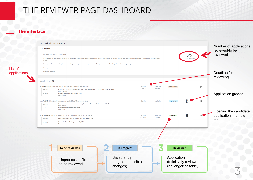## THE REVIEWER PAGE DASHBOARD

#### The interface

List of